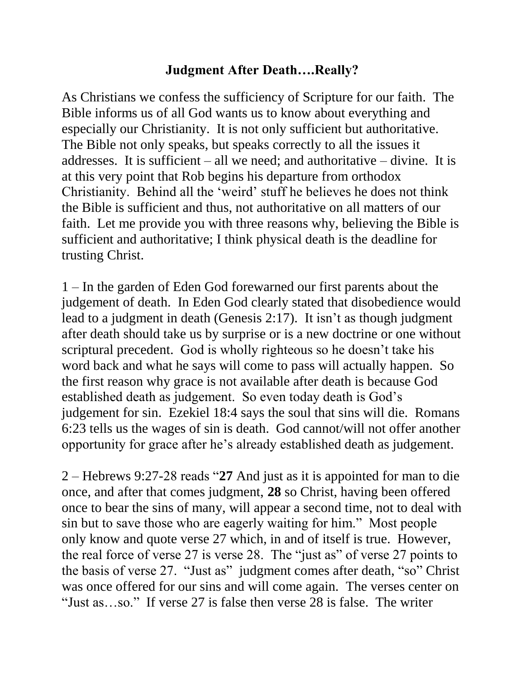## **Judgment After Death….Really?**

As Christians we confess the sufficiency of Scripture for our faith. The Bible informs us of all God wants us to know about everything and especially our Christianity. It is not only sufficient but authoritative. The Bible not only speaks, but speaks correctly to all the issues it addresses. It is sufficient – all we need; and authoritative – divine. It is at this very point that Rob begins his departure from orthodox Christianity. Behind all the 'weird' stuff he believes he does not think the Bible is sufficient and thus, not authoritative on all matters of our faith. Let me provide you with three reasons why, believing the Bible is sufficient and authoritative; I think physical death is the deadline for trusting Christ.

1 – In the garden of Eden God forewarned our first parents about the judgement of death. In Eden God clearly stated that disobedience would lead to a judgment in death (Genesis 2:17). It isn't as though judgment after death should take us by surprise or is a new doctrine or one without scriptural precedent. God is wholly righteous so he doesn't take his word back and what he says will come to pass will actually happen. So the first reason why grace is not available after death is because God established death as judgement. So even today death is God's judgement for sin. Ezekiel 18:4 says the soul that sins will die. Romans 6:23 tells us the wages of sin is death. God cannot/will not offer another opportunity for grace after he's already established death as judgement.

2 – Hebrews 9:27-28 reads "**27** And just as it is appointed for man to die once, and after that comes judgment, **28** so Christ, having been offered once to bear the sins of many, will appear a second time, not to deal with sin but to save those who are eagerly waiting for him." Most people only know and quote verse 27 which, in and of itself is true. However, the real force of verse 27 is verse 28. The "just as" of verse 27 points to the basis of verse 27. "Just as" judgment comes after death, "so" Christ was once offered for our sins and will come again. The verses center on "Just as…so." If verse 27 is false then verse 28 is false. The writer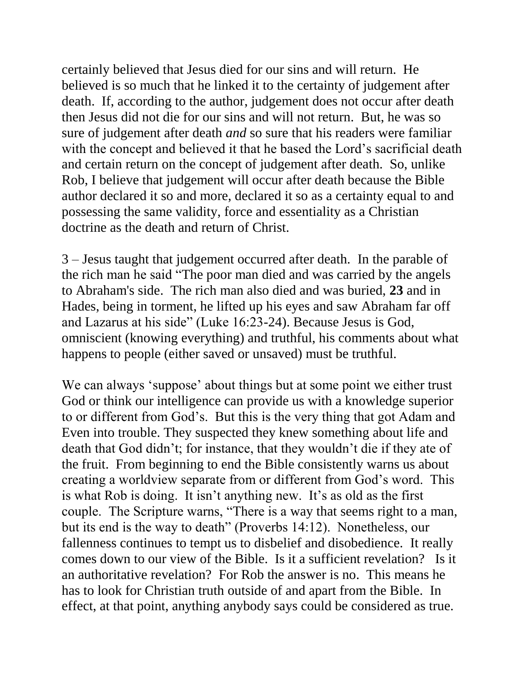certainly believed that Jesus died for our sins and will return. He believed is so much that he linked it to the certainty of judgement after death. If, according to the author, judgement does not occur after death then Jesus did not die for our sins and will not return. But, he was so sure of judgement after death *and* so sure that his readers were familiar with the concept and believed it that he based the Lord's sacrificial death and certain return on the concept of judgement after death. So, unlike Rob, I believe that judgement will occur after death because the Bible author declared it so and more, declared it so as a certainty equal to and possessing the same validity, force and essentiality as a Christian doctrine as the death and return of Christ.

3 – Jesus taught that judgement occurred after death. In the parable of the rich man he said "The poor man died and was carried by the angels to Abraham's side. The rich man also died and was buried, **23** and in Hades, being in torment, he lifted up his eyes and saw Abraham far off and Lazarus at his side" (Luke 16:23-24). Because Jesus is God, omniscient (knowing everything) and truthful, his comments about what happens to people (either saved or unsaved) must be truthful.

We can always 'suppose' about things but at some point we either trust God or think our intelligence can provide us with a knowledge superior to or different from God's. But this is the very thing that got Adam and Even into trouble. They suspected they knew something about life and death that God didn't; for instance, that they wouldn't die if they ate of the fruit. From beginning to end the Bible consistently warns us about creating a worldview separate from or different from God's word. This is what Rob is doing. It isn't anything new. It's as old as the first couple. The Scripture warns, "There is a way that seems right to a man, but its end is the way to death" (Proverbs 14:12). Nonetheless, our fallenness continues to tempt us to disbelief and disobedience. It really comes down to our view of the Bible. Is it a sufficient revelation? Is it an authoritative revelation? For Rob the answer is no. This means he has to look for Christian truth outside of and apart from the Bible. In effect, at that point, anything anybody says could be considered as true.